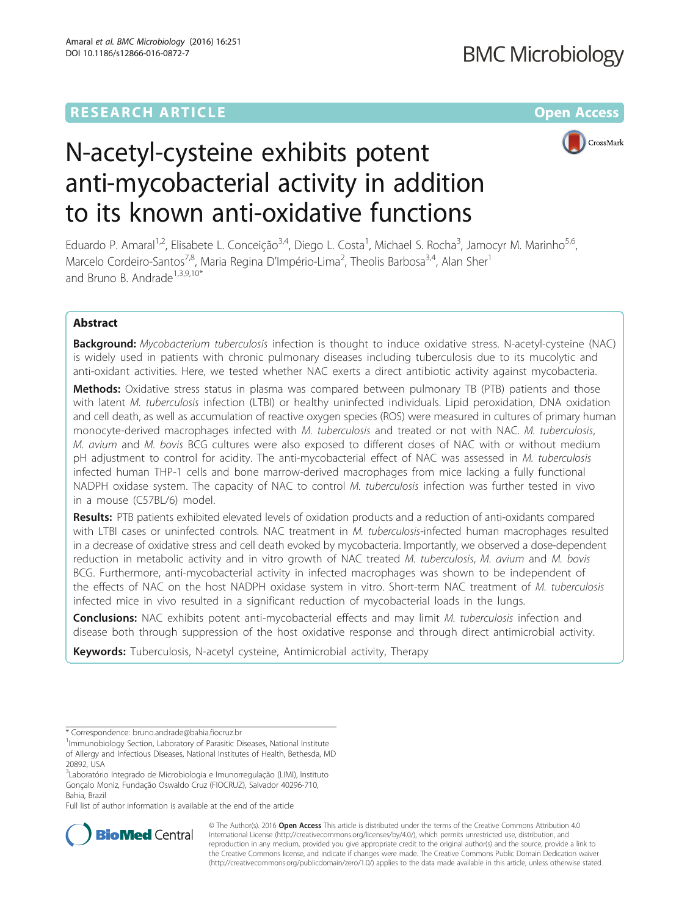# **RESEARCH ARTICLE Example 2014 The Contract of Contract Contract Contract Contract Contract Contract Contract Contract Contract Contract Contract Contract Contract Contract Contract Contract Contract Contract Contract Co**



# N-acetyl-cysteine exhibits potent anti-mycobacterial activity in addition to its known anti-oxidative functions

Eduardo P. Amaral<sup>1,2</sup>, Elisabete L. Conceição<sup>3,4</sup>, Diego L. Costa<sup>1</sup>, Michael S. Rocha<sup>3</sup>, Jamocyr M. Marinho<sup>5,6</sup>, Marcelo Cordeiro-Santos<sup>7,8</sup>, Maria Regina D'Império-Lima<sup>2</sup>, Theolis Barbosa<sup>3,4</sup>, Alan Sher<sup>1</sup> and Bruno B. Andrade<sup>1,3,9,10\*</sup>

# Abstract

Background: Mycobacterium tuberculosis infection is thought to induce oxidative stress. N-acetyl-cysteine (NAC) is widely used in patients with chronic pulmonary diseases including tuberculosis due to its mucolytic and anti-oxidant activities. Here, we tested whether NAC exerts a direct antibiotic activity against mycobacteria.

Methods: Oxidative stress status in plasma was compared between pulmonary TB (PTB) patients and those with latent M. tuberculosis infection (LTBI) or healthy uninfected individuals. Lipid peroxidation, DNA oxidation and cell death, as well as accumulation of reactive oxygen species (ROS) were measured in cultures of primary human monocyte-derived macrophages infected with M. tuberculosis and treated or not with NAC. M. tuberculosis, M. avium and M. bovis BCG cultures were also exposed to different doses of NAC with or without medium pH adjustment to control for acidity. The anti-mycobacterial effect of NAC was assessed in M. tuberculosis infected human THP-1 cells and bone marrow-derived macrophages from mice lacking a fully functional NADPH oxidase system. The capacity of NAC to control M. tuberculosis infection was further tested in vivo in a mouse (C57BL/6) model.

Results: PTB patients exhibited elevated levels of oxidation products and a reduction of anti-oxidants compared with LTBI cases or uninfected controls. NAC treatment in M. tuberculosis-infected human macrophages resulted in a decrease of oxidative stress and cell death evoked by mycobacteria. Importantly, we observed a dose-dependent reduction in metabolic activity and in vitro growth of NAC treated M. tuberculosis, M. avium and M. bovis BCG. Furthermore, anti-mycobacterial activity in infected macrophages was shown to be independent of the effects of NAC on the host NADPH oxidase system in vitro. Short-term NAC treatment of M. tuberculosis infected mice in vivo resulted in a significant reduction of mycobacterial loads in the lungs.

Conclusions: NAC exhibits potent anti-mycobacterial effects and may limit M. tuberculosis infection and disease both through suppression of the host oxidative response and through direct antimicrobial activity.

Keywords: Tuberculosis, N-acetyl cysteine, Antimicrobial activity, Therapy

Full list of author information is available at the end of the article



© The Author(s). 2016 Open Access This article is distributed under the terms of the Creative Commons Attribution 4.0 International License [\(http://creativecommons.org/licenses/by/4.0/](http://creativecommons.org/licenses/by/4.0/)), which permits unrestricted use, distribution, and reproduction in any medium, provided you give appropriate credit to the original author(s) and the source, provide a link to the Creative Commons license, and indicate if changes were made. The Creative Commons Public Domain Dedication waiver [\(http://creativecommons.org/publicdomain/zero/1.0/](http://creativecommons.org/publicdomain/zero/1.0/)) applies to the data made available in this article, unless otherwise stated.

<sup>\*</sup> Correspondence: [bruno.andrade@bahia.fiocruz.br](mailto:bruno.andrade@bahia.fiocruz.br) <sup>1</sup>

<sup>&</sup>lt;sup>1</sup> Immunobiology Section, Laboratory of Parasitic Diseases, National Institute of Allergy and Infectious Diseases, National Institutes of Health, Bethesda, MD 20892, USA

<sup>&</sup>lt;sup>3</sup>Laboratório Integrado de Microbiologia e Imunorregulação (LIMI), Instituto Gonçalo Moniz, Fundação Oswaldo Cruz (FIOCRUZ), Salvador 40296-710, Bahia, Brazil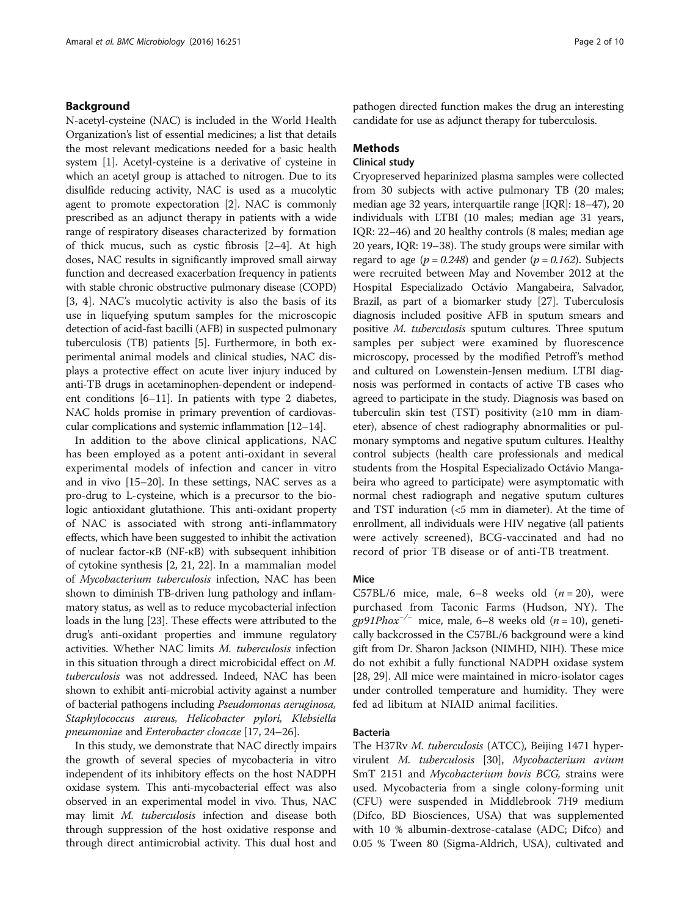# Background

N-acetyl-cysteine (NAC) is included in the World Health Organization's list of essential medicines; a list that details the most relevant medications needed for a basic health system [[1](#page-8-0)]. Acetyl-cysteine is a derivative of cysteine in which an acetyl group is attached to nitrogen. Due to its disulfide reducing activity, NAC is used as a mucolytic agent to promote expectoration [\[2\]](#page-8-0). NAC is commonly prescribed as an adjunct therapy in patients with a wide range of respiratory diseases characterized by formation of thick mucus, such as cystic fibrosis [[2](#page-8-0)–[4](#page-8-0)]. At high doses, NAC results in significantly improved small airway function and decreased exacerbation frequency in patients with stable chronic obstructive pulmonary disease (COPD) [[3, 4](#page-8-0)]. NAC's mucolytic activity is also the basis of its use in liquefying sputum samples for the microscopic detection of acid-fast bacilli (AFB) in suspected pulmonary tuberculosis (TB) patients [\[5\]](#page-8-0). Furthermore, in both experimental animal models and clinical studies, NAC displays a protective effect on acute liver injury induced by anti-TB drugs in acetaminophen-dependent or independent conditions [[6](#page-8-0)–[11\]](#page-8-0). In patients with type 2 diabetes, NAC holds promise in primary prevention of cardiovascular complications and systemic inflammation [\[12](#page-8-0)–[14](#page-8-0)].

In addition to the above clinical applications, NAC has been employed as a potent anti-oxidant in several experimental models of infection and cancer in vitro and in vivo [\[15](#page-8-0)–[20\]](#page-8-0). In these settings, NAC serves as a pro-drug to L-cysteine, which is a precursor to the biologic antioxidant glutathione. This anti-oxidant property of NAC is associated with strong anti-inflammatory effects, which have been suggested to inhibit the activation of nuclear factor-κB (NF-κB) with subsequent inhibition of cytokine synthesis [\[2](#page-8-0), [21, 22\]](#page-8-0). In a mammalian model of Mycobacterium tuberculosis infection, NAC has been shown to diminish TB-driven lung pathology and inflammatory status, as well as to reduce mycobacterial infection loads in the lung [\[23\]](#page-8-0). These effects were attributed to the drug's anti-oxidant properties and immune regulatory activities. Whether NAC limits M. tuberculosis infection in this situation through a direct microbicidal effect on M. tuberculosis was not addressed. Indeed, NAC has been shown to exhibit anti-microbial activity against a number of bacterial pathogens including Pseudomonas aeruginosa, Staphylococcus aureus, Helicobacter pylori, Klebsiella pneumoniae and Enterobacter cloacae [[17](#page-8-0), [24](#page-8-0)–[26](#page-8-0)].

In this study, we demonstrate that NAC directly impairs the growth of several species of mycobacteria in vitro independent of its inhibitory effects on the host NADPH oxidase system. This anti-mycobacterial effect was also observed in an experimental model in vivo. Thus, NAC may limit M. tuberculosis infection and disease both through suppression of the host oxidative response and through direct antimicrobial activity. This dual host and pathogen directed function makes the drug an interesting candidate for use as adjunct therapy for tuberculosis.

## Methods

# Clinical study

Cryopreserved heparinized plasma samples were collected from 30 subjects with active pulmonary TB (20 males; median age 32 years, interquartile range [IQR]: 18–47), 20 individuals with LTBI (10 males; median age 31 years, IQR: 22–46) and 20 healthy controls (8 males; median age 20 years, IQR: 19–38). The study groups were similar with regard to age ( $p = 0.248$ ) and gender ( $p = 0.162$ ). Subjects were recruited between May and November 2012 at the Hospital Especializado Octávio Mangabeira, Salvador, Brazil, as part of a biomarker study [\[27\]](#page-8-0). Tuberculosis diagnosis included positive AFB in sputum smears and positive M. tuberculosis sputum cultures. Three sputum samples per subject were examined by fluorescence microscopy, processed by the modified Petroff's method and cultured on Lowenstein-Jensen medium. LTBI diagnosis was performed in contacts of active TB cases who agreed to participate in the study. Diagnosis was based on tuberculin skin test (TST) positivity  $(≥10$  mm in diameter), absence of chest radiography abnormalities or pulmonary symptoms and negative sputum cultures. Healthy control subjects (health care professionals and medical students from the Hospital Especializado Octávio Mangabeira who agreed to participate) were asymptomatic with normal chest radiograph and negative sputum cultures and TST induration (<5 mm in diameter). At the time of enrollment, all individuals were HIV negative (all patients were actively screened), BCG-vaccinated and had no record of prior TB disease or of anti-TB treatment.

## Mice

C57BL/6 mice, male,  $6-8$  weeks old  $(n = 20)$ , were purchased from Taconic Farms (Hudson, NY). The gp91Phox<sup>-/-</sup> mice, male, 6–8 weeks old (n = 10), genetically backcrossed in the C57BL/6 background were a kind gift from Dr. Sharon Jackson (NIMHD, NIH). These mice do not exhibit a fully functional NADPH oxidase system [[28](#page-8-0), [29](#page-8-0)]. All mice were maintained in micro-isolator cages under controlled temperature and humidity. They were fed ad libitum at NIAID animal facilities.

# Bacteria

The H37Rv M. tuberculosis (ATCC), Beijing 1471 hypervirulent M. tuberculosis [\[30\]](#page-8-0), Mycobacterium avium SmT 2151 and Mycobacterium bovis BCG, strains were used. Mycobacteria from a single colony-forming unit (CFU) were suspended in Middlebrook 7H9 medium (Difco, BD Biosciences, USA) that was supplemented with 10 % albumin-dextrose-catalase (ADC; Difco) and 0.05 % Tween 80 (Sigma-Aldrich, USA), cultivated and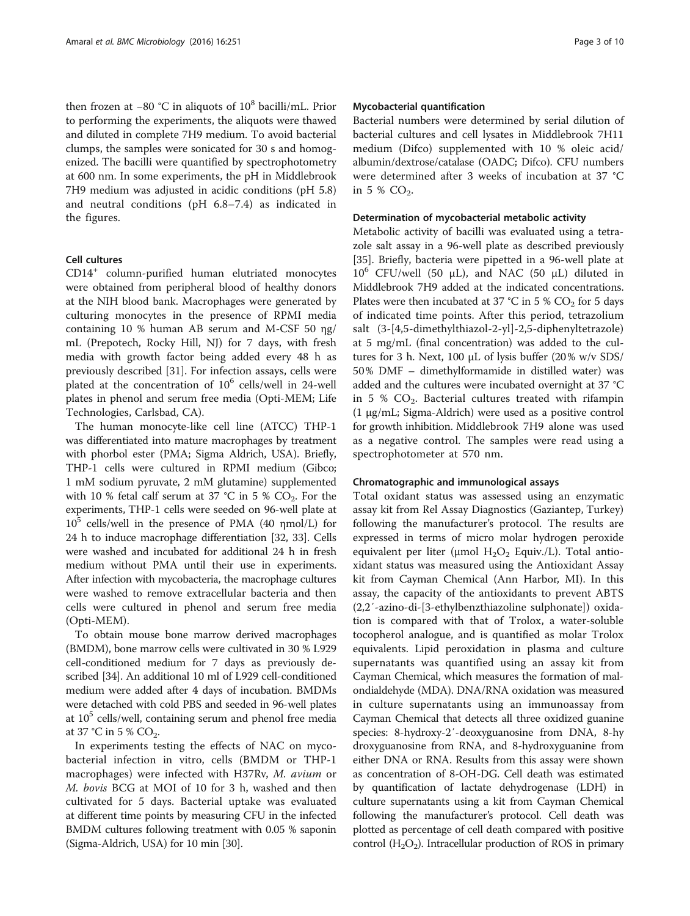then frozen at −80 °C in aliquots of 10<sup>8</sup> bacilli/mL. Prior to performing the experiments, the aliquots were thawed and diluted in complete 7H9 medium. To avoid bacterial clumps, the samples were sonicated for 30 s and homogenized. The bacilli were quantified by spectrophotometry at 600 nm. In some experiments, the pH in Middlebrook 7H9 medium was adjusted in acidic conditions (pH 5.8) and neutral conditions (pH 6.8–7.4) as indicated in the figures.

# Cell cultures

CD14<sup>+</sup> column-purified human elutriated monocytes were obtained from peripheral blood of healthy donors at the NIH blood bank. Macrophages were generated by culturing monocytes in the presence of RPMI media containing 10 % human AB serum and M-CSF 50 ηg/ mL (Prepotech, Rocky Hill, NJ) for 7 days, with fresh media with growth factor being added every 48 h as previously described [\[31](#page-8-0)]. For infection assays, cells were plated at the concentration of  $10^6$  cells/well in 24-well plates in phenol and serum free media (Opti-MEM; Life Technologies, Carlsbad, CA).

The human monocyte-like cell line (ATCC) THP-1 was differentiated into mature macrophages by treatment with phorbol ester (PMA; Sigma Aldrich, USA). Briefly, THP-1 cells were cultured in RPMI medium (Gibco; 1 mM sodium pyruvate, 2 mM glutamine) supplemented with 10 % fetal calf serum at 37 °C in 5 %  $CO_2$ . For the experiments, THP-1 cells were seeded on 96-well plate at  $10^5$  cells/well in the presence of PMA (40  $\eta$ mol/L) for 24 h to induce macrophage differentiation [\[32, 33](#page-8-0)]. Cells were washed and incubated for additional 24 h in fresh medium without PMA until their use in experiments. After infection with mycobacteria, the macrophage cultures were washed to remove extracellular bacteria and then cells were cultured in phenol and serum free media (Opti-MEM).

To obtain mouse bone marrow derived macrophages (BMDM), bone marrow cells were cultivated in 30 % L929 cell-conditioned medium for 7 days as previously described [\[34\]](#page-8-0). An additional 10 ml of L929 cell-conditioned medium were added after 4 days of incubation. BMDMs were detached with cold PBS and seeded in 96-well plates at  $10<sup>5</sup>$  cells/well, containing serum and phenol free media at 37 °C in 5 %  $CO<sub>2</sub>$ .

In experiments testing the effects of NAC on mycobacterial infection in vitro, cells (BMDM or THP-1 macrophages) were infected with H37Rv, M. avium or M. bovis BCG at MOI of 10 for 3 h, washed and then cultivated for 5 days. Bacterial uptake was evaluated at different time points by measuring CFU in the infected BMDM cultures following treatment with 0.05 % saponin (Sigma-Aldrich, USA) for 10 min [[30\]](#page-8-0).

#### Mycobacterial quantification

Bacterial numbers were determined by serial dilution of bacterial cultures and cell lysates in Middlebrook 7H11 medium (Difco) supplemented with 10 % oleic acid/ albumin/dextrose/catalase (OADC; Difco). CFU numbers were determined after 3 weeks of incubation at 37 °C in 5 %  $CO_2$ .

#### Determination of mycobacterial metabolic activity

Metabolic activity of bacilli was evaluated using a tetrazole salt assay in a 96-well plate as described previously [[35\]](#page-9-0). Briefly, bacteria were pipetted in a 96-well plate at  $10^6$  CFU/well (50 μL), and NAC (50 μL) diluted in Middlebrook 7H9 added at the indicated concentrations. Plates were then incubated at 37 °C in 5 %  $CO<sub>2</sub>$  for 5 days of indicated time points. After this period, tetrazolium salt (3-[4,5-dimethylthiazol-2-yl]-2,5-diphenyltetrazole) at 5 mg/mL (final concentration) was added to the cultures for 3 h. Next, 100 μL of lysis buffer (20% w/v SDS/ 50% DMF – dimethylformamide in distilled water) was added and the cultures were incubated overnight at 37 °C in 5 %  $CO<sub>2</sub>$ . Bacterial cultures treated with rifampin (1 μg/mL; Sigma-Aldrich) were used as a positive control for growth inhibition. Middlebrook 7H9 alone was used as a negative control. The samples were read using a spectrophotometer at 570 nm.

#### Chromatographic and immunological assays

Total oxidant status was assessed using an enzymatic assay kit from Rel Assay Diagnostics (Gaziantep, Turkey) following the manufacturer's protocol. The results are expressed in terms of micro molar hydrogen peroxide equivalent per liter (μmol  $H_2O_2$  Equiv./L). Total antioxidant status was measured using the Antioxidant Assay kit from Cayman Chemical (Ann Harbor, MI). In this assay, the capacity of the antioxidants to prevent ABTS (2,2′-azino-di-[3-ethylbenzthiazoline sulphonate]) oxidation is compared with that of Trolox, a water-soluble tocopherol analogue, and is quantified as molar Trolox equivalents. Lipid peroxidation in plasma and culture supernatants was quantified using an assay kit from Cayman Chemical, which measures the formation of malondialdehyde (MDA). DNA/RNA oxidation was measured in culture supernatants using an immunoassay from Cayman Chemical that detects all three oxidized guanine species: 8-hydroxy-2′-deoxyguanosine from DNA, 8-hy droxyguanosine from RNA, and 8-hydroxyguanine from either DNA or RNA. Results from this assay were shown as concentration of 8-OH-DG. Cell death was estimated by quantification of lactate dehydrogenase (LDH) in culture supernatants using a kit from Cayman Chemical following the manufacturer's protocol. Cell death was plotted as percentage of cell death compared with positive control  $(H_2O_2)$ . Intracellular production of ROS in primary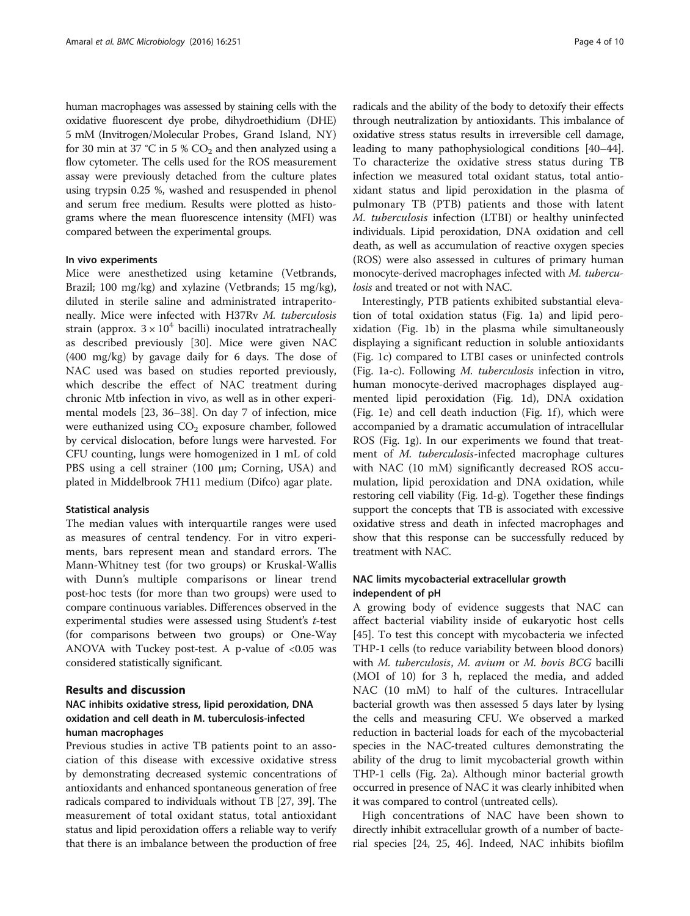human macrophages was assessed by staining cells with the oxidative fluorescent dye probe, dihydroethidium (DHE) 5 mM (Invitrogen/Molecular Probes, Grand Island, NY) for 30 min at 37 °C in 5 %  $CO<sub>2</sub>$  and then analyzed using a flow cytometer. The cells used for the ROS measurement assay were previously detached from the culture plates using trypsin 0.25 %, washed and resuspended in phenol and serum free medium. Results were plotted as histograms where the mean fluorescence intensity (MFI) was compared between the experimental groups.

# In vivo experiments

Mice were anesthetized using ketamine (Vetbrands, Brazil; 100 mg/kg) and xylazine (Vetbrands; 15 mg/kg), diluted in sterile saline and administrated intraperitoneally. Mice were infected with H37Rv M. tuberculosis strain (approx.  $3 \times 10^4$  bacilli) inoculated intratracheally as described previously [[30](#page-8-0)]. Mice were given NAC (400 mg/kg) by gavage daily for 6 days. The dose of NAC used was based on studies reported previously, which describe the effect of NAC treatment during chronic Mtb infection in vivo, as well as in other experimental models [\[23](#page-8-0), [36](#page-9-0)–[38\]](#page-9-0). On day 7 of infection, mice were euthanized using  $CO<sub>2</sub>$  exposure chamber, followed by cervical dislocation, before lungs were harvested. For CFU counting, lungs were homogenized in 1 mL of cold PBS using a cell strainer (100 μm; Corning, USA) and plated in Middelbrook 7H11 medium (Difco) agar plate.

#### Statistical analysis

The median values with interquartile ranges were used as measures of central tendency. For in vitro experiments, bars represent mean and standard errors. The Mann-Whitney test (for two groups) or Kruskal-Wallis with Dunn's multiple comparisons or linear trend post-hoc tests (for more than two groups) were used to compare continuous variables. Differences observed in the experimental studies were assessed using Student's t-test (for comparisons between two groups) or One-Way ANOVA with Tuckey post-test. A p-value of  $< 0.05$  was considered statistically significant.

# Results and discussion

# NAC inhibits oxidative stress, lipid peroxidation, DNA oxidation and cell death in M. tuberculosis-infected human macrophages

Previous studies in active TB patients point to an association of this disease with excessive oxidative stress by demonstrating decreased systemic concentrations of antioxidants and enhanced spontaneous generation of free radicals compared to individuals without TB [\[27,](#page-8-0) [39](#page-9-0)]. The measurement of total oxidant status, total antioxidant status and lipid peroxidation offers a reliable way to verify that there is an imbalance between the production of free

radicals and the ability of the body to detoxify their effects through neutralization by antioxidants. This imbalance of oxidative stress status results in irreversible cell damage, leading to many pathophysiological conditions [\[40](#page-9-0)–[44](#page-9-0)]. To characterize the oxidative stress status during TB infection we measured total oxidant status, total antioxidant status and lipid peroxidation in the plasma of pulmonary TB (PTB) patients and those with latent M. tuberculosis infection (LTBI) or healthy uninfected individuals. Lipid peroxidation, DNA oxidation and cell death, as well as accumulation of reactive oxygen species (ROS) were also assessed in cultures of primary human monocyte-derived macrophages infected with M. tuberculosis and treated or not with NAC.

Interestingly, PTB patients exhibited substantial elevation of total oxidation status (Fig. [1a\)](#page-4-0) and lipid peroxidation (Fig. [1b](#page-4-0)) in the plasma while simultaneously displaying a significant reduction in soluble antioxidants (Fig. [1c](#page-4-0)) compared to LTBI cases or uninfected controls (Fig. [1a-c\)](#page-4-0). Following M. tuberculosis infection in vitro, human monocyte-derived macrophages displayed augmented lipid peroxidation (Fig. [1d\)](#page-4-0), DNA oxidation (Fig. [1e\)](#page-4-0) and cell death induction (Fig. [1f](#page-4-0) ), which were accompanied by a dramatic accumulation of intracellular ROS (Fig. [1g\)](#page-4-0). In our experiments we found that treatment of M. tuberculosis-infected macrophage cultures with NAC (10 mM) significantly decreased ROS accumulation, lipid peroxidation and DNA oxidation, while restoring cell viability (Fig. [1d-g\)](#page-4-0). Together these findings support the concepts that TB is associated with excessive oxidative stress and death in infected macrophages and show that this response can be successfully reduced by treatment with NAC.

# NAC limits mycobacterial extracellular growth independent of pH

A growing body of evidence suggests that NAC can affect bacterial viability inside of eukaryotic host cells [[45\]](#page-9-0). To test this concept with mycobacteria we infected THP-1 cells (to reduce variability between blood donors) with M. tuberculosis, M. avium or M. bovis BCG bacilli (MOI of 10) for 3 h, replaced the media, and added NAC (10 mM) to half of the cultures. Intracellular bacterial growth was then assessed 5 days later by lysing the cells and measuring CFU. We observed a marked reduction in bacterial loads for each of the mycobacterial species in the NAC-treated cultures demonstrating the ability of the drug to limit mycobacterial growth within THP-1 cells (Fig. [2a](#page-5-0)). Although minor bacterial growth occurred in presence of NAC it was clearly inhibited when it was compared to control (untreated cells).

High concentrations of NAC have been shown to directly inhibit extracellular growth of a number of bacterial species [\[24](#page-8-0), [25](#page-8-0), [46](#page-9-0)]. Indeed, NAC inhibits biofilm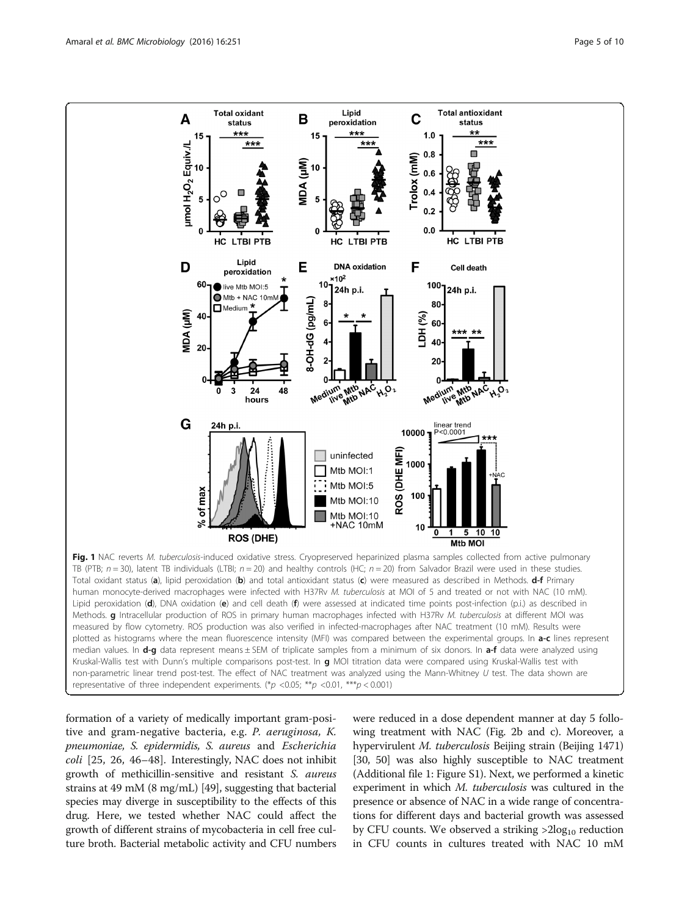<span id="page-4-0"></span>

formation of a variety of medically important gram-positive and gram-negative bacteria, e.g. P. aeruginosa, K. pneumoniae, S. epidermidis, S. aureus and Escherichia  $\text{coll}$  [[25, 26](#page-8-0), [46](#page-9-0)–[48](#page-9-0)]. Interestingly, NAC does not inhibit growth of methicillin-sensitive and resistant S. aureus strains at 49 mM (8 mg/mL) [[49](#page-9-0)], suggesting that bacterial species may diverge in susceptibility to the effects of this drug. Here, we tested whether NAC could affect the growth of different strains of mycobacteria in cell free culture broth. Bacterial metabolic activity and CFU numbers

were reduced in a dose dependent manner at day 5 following treatment with NAC (Fig. [2b and c](#page-5-0)). Moreover, a hypervirulent M. tuberculosis Beijing strain (Beijing 1471) [[30](#page-8-0), [50](#page-9-0)] was also highly susceptible to NAC treatment (Additional file [1](#page-7-0): Figure S1). Next, we performed a kinetic experiment in which M. tuberculosis was cultured in the presence or absence of NAC in a wide range of concentrations for different days and bacterial growth was assessed by CFU counts. We observed a striking  $>2\log_{10}$  reduction in CFU counts in cultures treated with NAC 10 mM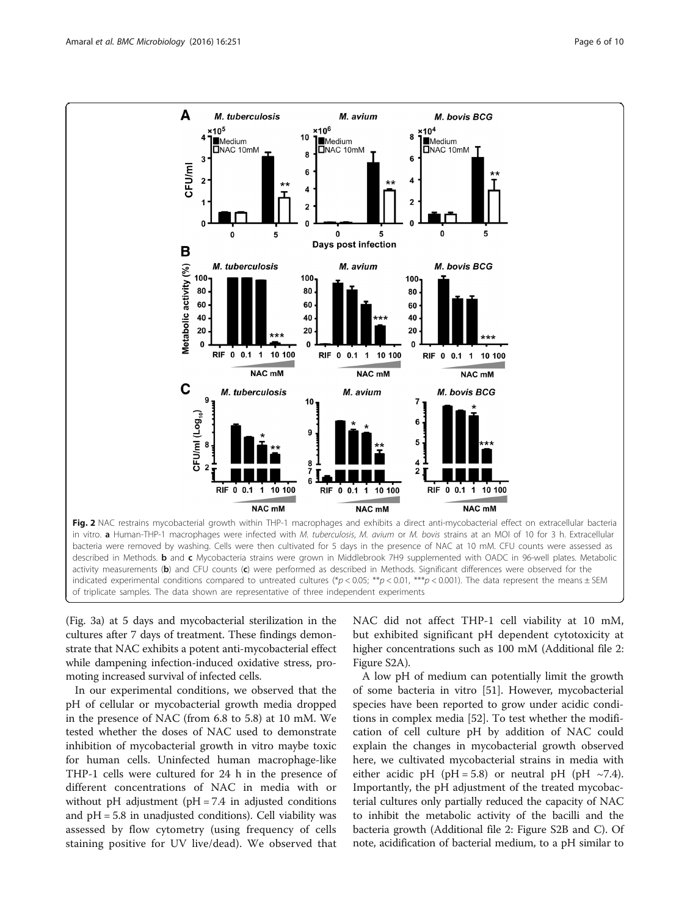<span id="page-5-0"></span>

(Fig. [3a](#page-6-0)) at 5 days and mycobacterial sterilization in the cultures after 7 days of treatment. These findings demonstrate that NAC exhibits a potent anti-mycobacterial effect while dampening infection-induced oxidative stress, promoting increased survival of infected cells.

In our experimental conditions, we observed that the pH of cellular or mycobacterial growth media dropped in the presence of NAC (from 6.8 to 5.8) at 10 mM. We tested whether the doses of NAC used to demonstrate inhibition of mycobacterial growth in vitro maybe toxic for human cells. Uninfected human macrophage-like THP-1 cells were cultured for 24 h in the presence of different concentrations of NAC in media with or without pH adjustment ( $pH = 7.4$  in adjusted conditions and pH = 5.8 in unadjusted conditions). Cell viability was assessed by flow cytometry (using frequency of cells staining positive for UV live/dead). We observed that NAC did not affect THP-1 cell viability at 10 mM, but exhibited significant pH dependent cytotoxicity at higher concentrations such as 100 mM (Additional file [2](#page-7-0): Figure S2A).

A low pH of medium can potentially limit the growth of some bacteria in vitro [\[51](#page-9-0)]. However, mycobacterial species have been reported to grow under acidic conditions in complex media [[52\]](#page-9-0). To test whether the modification of cell culture pH by addition of NAC could explain the changes in mycobacterial growth observed here, we cultivated mycobacterial strains in media with either acidic pH (pH = 5.8) or neutral pH (pH  $\sim$ 7.4). Importantly, the pH adjustment of the treated mycobacterial cultures only partially reduced the capacity of NAC to inhibit the metabolic activity of the bacilli and the bacteria growth (Additional file [2:](#page-7-0) Figure S2B and C). Of note, acidification of bacterial medium, to a pH similar to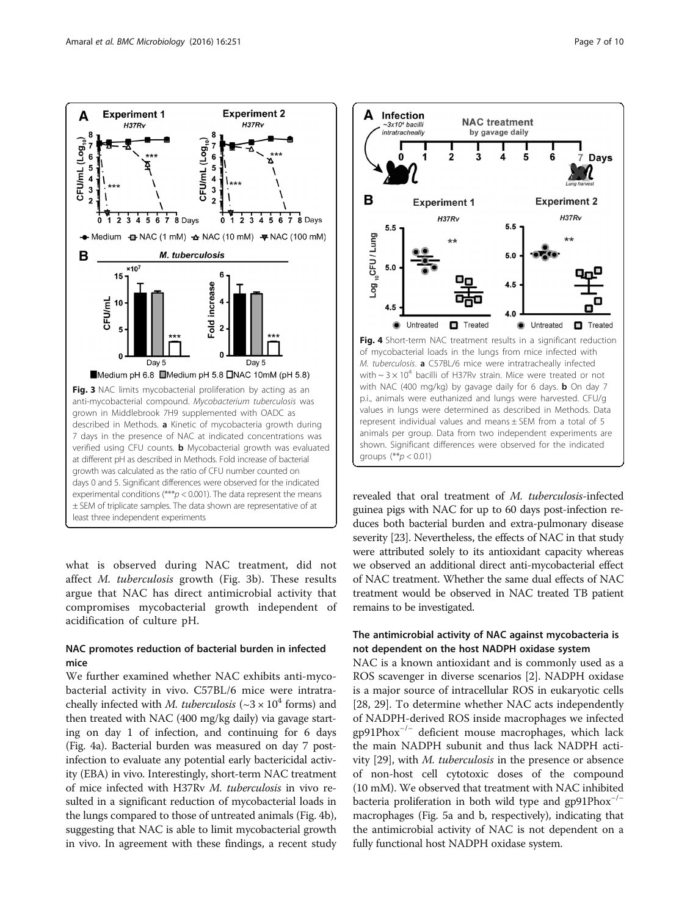<span id="page-6-0"></span>

what is observed during NAC treatment, did not affect M. tuberculosis growth (Fig. 3b). These results argue that NAC has direct antimicrobial activity that compromises mycobacterial growth independent of acidification of culture pH.

# NAC promotes reduction of bacterial burden in infected mice

We further examined whether NAC exhibits anti-mycobacterial activity in vivo. C57BL/6 mice were intratracheally infected with *M. tuberculosis* ( $\sim$ 3  $\times$  10<sup>4</sup> forms) and then treated with NAC (400 mg/kg daily) via gavage starting on day 1 of infection, and continuing for 6 days (Fig. 4a). Bacterial burden was measured on day 7 postinfection to evaluate any potential early bactericidal activity (EBA) in vivo. Interestingly, short-term NAC treatment of mice infected with H37Rv M. tuberculosis in vivo resulted in a significant reduction of mycobacterial loads in the lungs compared to those of untreated animals (Fig. 4b), suggesting that NAC is able to limit mycobacterial growth in vivo. In agreement with these findings, a recent study



revealed that oral treatment of M. tuberculosis-infected guinea pigs with NAC for up to 60 days post-infection reduces both bacterial burden and extra-pulmonary disease severity [\[23\]](#page-8-0). Nevertheless, the effects of NAC in that study were attributed solely to its antioxidant capacity whereas we observed an additional direct anti-mycobacterial effect of NAC treatment. Whether the same dual effects of NAC treatment would be observed in NAC treated TB patient remains to be investigated.

# The antimicrobial activity of NAC against mycobacteria is not dependent on the host NADPH oxidase system

NAC is a known antioxidant and is commonly used as a ROS scavenger in diverse scenarios [[2\]](#page-8-0). NADPH oxidase is a major source of intracellular ROS in eukaryotic cells [[28, 29\]](#page-8-0). To determine whether NAC acts independently of NADPH-derived ROS inside macrophages we infected gp91Phox−/<sup>−</sup> deficient mouse macrophages, which lack the main NADPH subunit and thus lack NADPH activity [\[29](#page-8-0)], with M. tuberculosis in the presence or absence of non-host cell cytotoxic doses of the compound (10 mM). We observed that treatment with NAC inhibited bacteria proliferation in both wild type and gp91Phox−/<sup>−</sup> macrophages (Fig. [5a and b](#page-7-0), respectively), indicating that the antimicrobial activity of NAC is not dependent on a fully functional host NADPH oxidase system.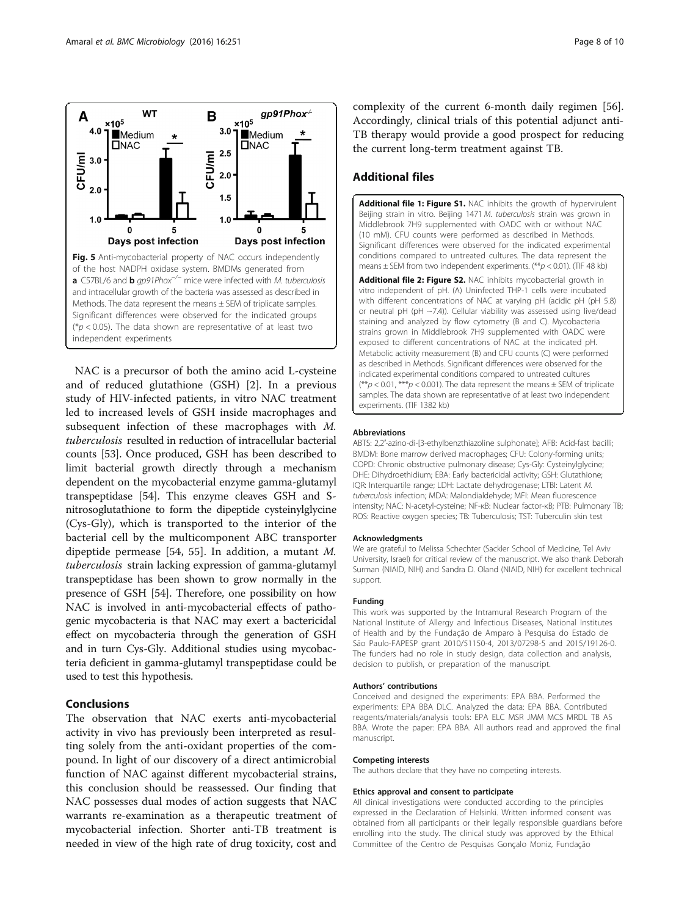<span id="page-7-0"></span>

NAC is a precursor of both the amino acid L-cysteine and of reduced glutathione (GSH) [[2\]](#page-8-0). In a previous study of HIV-infected patients, in vitro NAC treatment led to increased levels of GSH inside macrophages and subsequent infection of these macrophages with M. tuberculosis resulted in reduction of intracellular bacterial counts [\[53\]](#page-9-0). Once produced, GSH has been described to limit bacterial growth directly through a mechanism dependent on the mycobacterial enzyme gamma-glutamyl transpeptidase [\[54\]](#page-9-0). This enzyme cleaves GSH and Snitrosoglutathione to form the dipeptide cysteinylglycine (Cys-Gly), which is transported to the interior of the bacterial cell by the multicomponent ABC transporter dipeptide permease [\[54](#page-9-0), [55\]](#page-9-0). In addition, a mutant M. tuberculosis strain lacking expression of gamma-glutamyl transpeptidase has been shown to grow normally in the presence of GSH [\[54](#page-9-0)]. Therefore, one possibility on how NAC is involved in anti-mycobacterial effects of pathogenic mycobacteria is that NAC may exert a bactericidal effect on mycobacteria through the generation of GSH and in turn Cys-Gly. Additional studies using mycobacteria deficient in gamma-glutamyl transpeptidase could be used to test this hypothesis.

# **Conclusions**

The observation that NAC exerts anti-mycobacterial activity in vivo has previously been interpreted as resulting solely from the anti-oxidant properties of the compound. In light of our discovery of a direct antimicrobial function of NAC against different mycobacterial strains, this conclusion should be reassessed. Our finding that NAC possesses dual modes of action suggests that NAC warrants re-examination as a therapeutic treatment of mycobacterial infection. Shorter anti-TB treatment is needed in view of the high rate of drug toxicity, cost and

complexity of the current 6-month daily regimen [\[56](#page-9-0)]. Accordingly, clinical trials of this potential adjunct anti-TB therapy would provide a good prospect for reducing the current long-term treatment against TB.

# Additional files

[Additional file 1: Figure S1.](dx.doi.org/10.1186/s12866-016-0872-7) NAC inhibits the growth of hypervirulent Beijing strain in vitro. Beijing 1471 M. tuberculosis strain was grown in Middlebrook 7H9 supplemented with OADC with or without NAC (10 mM). CFU counts were performed as described in Methods. Significant differences were observed for the indicated experimental conditions compared to untreated cultures. The data represent the means  $\pm$  SEM from two independent experiments. (\*\* $p$  < 0.01). (TIF 48 kb)

[Additional file 2: Figure S2.](dx.doi.org/10.1186/s12866-016-0872-7) NAC inhibits mycobacterial growth in vitro independent of pH. (A) Uninfected THP-1 cells were incubated with different concentrations of NAC at varying pH (acidic pH (pH 5.8) or neutral pH (pH ~7.4)). Cellular viability was assessed using live/dead staining and analyzed by flow cytometry (B and C). Mycobacteria strains grown in Middlebrook 7H9 supplemented with OADC were exposed to different concentrations of NAC at the indicated pH. Metabolic activity measurement (B) and CFU counts (C) were performed as described in Methods. Significant differences were observed for the indicated experimental conditions compared to untreated cultures (\*\* $p$  < 0.01, \*\*\* $p$  < 0.001). The data represent the means  $\pm$  SEM of triplicate samples. The data shown are representative of at least two independent experiments. (TIF 1382 kb)

#### Abbreviations

ABTS: 2,2′-azino-di-[3-ethylbenzthiazoline sulphonate]; AFB: Acid-fast bacilli; BMDM: Bone marrow derived macrophages; CFU: Colony-forming units; COPD: Chronic obstructive pulmonary disease; Cys-Gly: Cysteinylglycine; DHE: Dihydroethidium; EBA: Early bactericidal activity; GSH: Glutathione; IQR: Interquartile range; LDH: Lactate dehydrogenase; LTBI: Latent M. tuberculosis infection; MDA: Malondialdehyde; MFI: Mean fluorescence intensity; NAC: N-acetyl-cysteine; NF-κB: Nuclear factor-κB; PTB: Pulmonary TB; ROS: Reactive oxygen species; TB: Tuberculosis; TST: Tuberculin skin test

#### Acknowledgments

We are grateful to Melissa Schechter (Sackler School of Medicine, Tel Aviv University, Israel) for critical review of the manuscript. We also thank Deborah Surman (NIAID, NIH) and Sandra D. Oland (NIAID, NIH) for excellent technical support.

#### Funding

This work was supported by the Intramural Research Program of the National Institute of Allergy and Infectious Diseases, National Institutes of Health and by the Fundação de Amparo à Pesquisa do Estado de São Paulo-FAPESP grant 2010/51150-4, 2013/07298-5 and 2015/19126-0. The funders had no role in study design, data collection and analysis, decision to publish, or preparation of the manuscript.

#### Authors' contributions

Conceived and designed the experiments: EPA BBA. Performed the experiments: EPA BBA DLC. Analyzed the data: EPA BBA. Contributed reagents/materials/analysis tools: EPA ELC MSR JMM MCS MRDL TB AS BBA. Wrote the paper: EPA BBA. All authors read and approved the final manuscript.

#### Competing interests

The authors declare that they have no competing interests.

#### Ethics approval and consent to participate

All clinical investigations were conducted according to the principles expressed in the Declaration of Helsinki. Written informed consent was obtained from all participants or their legally responsible guardians before enrolling into the study. The clinical study was approved by the Ethical Committee of the Centro de Pesquisas Gonçalo Moniz, Fundação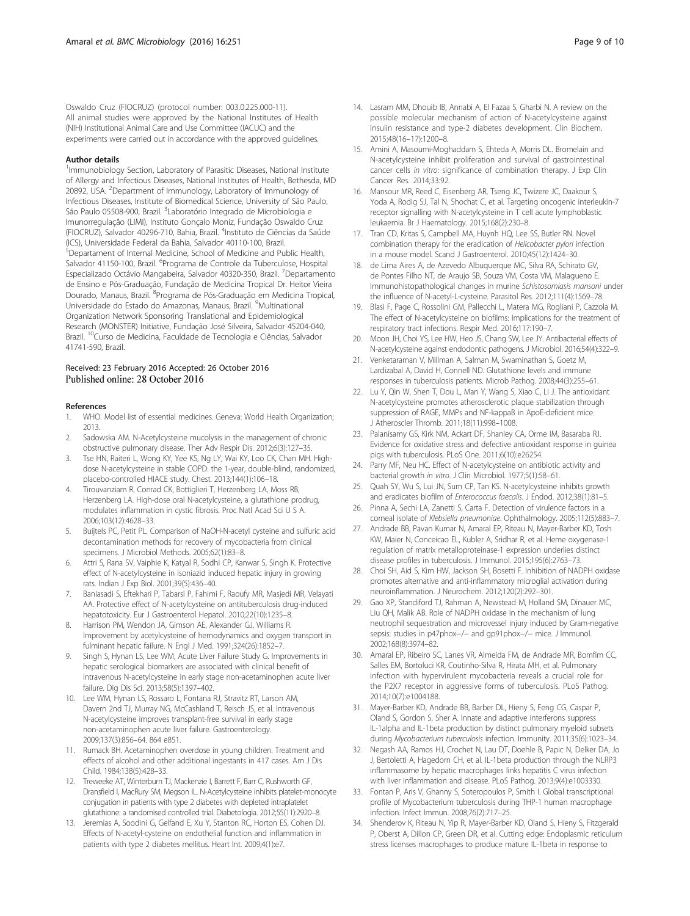<span id="page-8-0"></span>Oswaldo Cruz (FIOCRUZ) (protocol number: 003.0.225.000-11). All animal studies were approved by the National Institutes of Health (NIH) Institutional Animal Care and Use Committee (IACUC) and the experiments were carried out in accordance with the approved guidelines.

#### Author details

<sup>1</sup>Immunobiology Section, Laboratory of Parasitic Diseases, National Institute of Allergy and Infectious Diseases, National Institutes of Health, Bethesda, MD 20892, USA. <sup>2</sup>Department of Immunology, Laboratory of Immunology of Infectious Diseases, Institute of Biomedical Science, University of São Paulo, São Paulo 05508-900, Brazil. <sup>3</sup>Laboratório Integrado de Microbiologia e Imunorregulação (LIMI), Instituto Gonçalo Moniz, Fundação Oswaldo Cruz (FIOCRUZ), Salvador 40296-710, Bahia, Brazil. <sup>4</sup>Instituto de Ciências da Saúde (ICS), Universidade Federal da Bahia, Salvador 40110-100, Brazil. 5 Departament of Internal Medicine, School of Medicine and Public Health, Salvador 41150-100, Brazil. <sup>6</sup>Programa de Controle da Tuberculose, Hospital Especializado Octávio Mangabeira, Salvador 40320-350, Brazil. <sup>7</sup>Departamento de Ensino e Pós-Graduação, Fundação de Medicina Tropical Dr. Heitor Vieira Dourado, Manaus, Brazil. <sup>8</sup>Programa de Pós-Graduação em Medicina Tropical, Universidade do Estado do Amazonas, Manaus, Brazil. <sup>9</sup> Multinational Organization Network Sponsoring Translational and Epidemiological Research (MONSTER) Initiative, Fundação José Silveira, Salvador 45204-040, Brazil. 10Curso de Medicina, Faculdade de Tecnologia e Ciências, Salvador 41741-590, Brazil.

#### Received: 23 February 2016 Accepted: 26 October 2016 Published online: 28 October 2016

#### References

- 1. WHO. Model list of essential medicines. Geneva: World Health Organization; 2013.
- 2. Sadowska AM. N-Acetylcysteine mucolysis in the management of chronic obstructive pulmonary disease. Ther Adv Respir Dis. 2012;6(3):127–35.
- Tse HN, Raiteri L, Wong KY, Yee KS, Ng LY, Wai KY, Loo CK, Chan MH. Highdose N-acetylcysteine in stable COPD: the 1-year, double-blind, randomized, placebo-controlled HIACE study. Chest. 2013;144(1):106–18.
- 4. Tirouvanziam R, Conrad CK, Bottiglieri T, Herzenberg LA, Moss RB, Herzenberg LA. High-dose oral N-acetylcysteine, a glutathione prodrug, modulates inflammation in cystic fibrosis. Proc Natl Acad Sci U S A. 2006;103(12):4628–33.
- 5. Buijtels PC, Petit PL. Comparison of NaOH-N-acetyl cysteine and sulfuric acid decontamination methods for recovery of mycobacteria from clinical specimens. J Microbiol Methods. 2005;62(1):83–8.
- 6. Attri S, Rana SV, Vaiphie K, Katyal R, Sodhi CP, Kanwar S, Singh K. Protective effect of N-acetylcysteine in isoniazid induced hepatic injury in growing rats. Indian J Exp Biol. 2001;39(5):436–40.
- 7. Baniasadi S, Eftekhari P, Tabarsi P, Fahimi F, Raoufy MR, Masjedi MR, Velayati AA. Protective effect of N-acetylcysteine on antituberculosis drug-induced hepatotoxicity. Eur J Gastroenterol Hepatol. 2010;22(10):1235–8.
- 8. Harrison PM, Wendon JA, Gimson AE, Alexander GJ, Williams R. Improvement by acetylcysteine of hemodynamics and oxygen transport in fulminant hepatic failure. N Engl J Med. 1991;324(26):1852–7.
- Singh S, Hynan LS, Lee WM, Acute Liver Failure Study G. Improvements in hepatic serological biomarkers are associated with clinical benefit of intravenous N-acetylcysteine in early stage non-acetaminophen acute liver failure. Dig Dis Sci. 2013;58(5):1397–402.
- 10. Lee WM, Hynan LS, Rossaro L, Fontana RJ, Stravitz RT, Larson AM, Davern 2nd TJ, Murray NG, McCashland T, Reisch JS, et al. Intravenous N-acetylcysteine improves transplant-free survival in early stage non-acetaminophen acute liver failure. Gastroenterology. 2009;137(3):856–64. 864 e851.
- 11. Rumack BH. Acetaminophen overdose in young children. Treatment and effects of alcohol and other additional ingestants in 417 cases. Am J Dis Child. 1984;138(5):428–33.
- 12. Treweeke AT, Winterburn TJ, Mackenzie I, Barrett F, Barr C, Rushworth GF, Dransfield I, MacRury SM, Megson IL. N-Acetylcysteine inhibits platelet-monocyte conjugation in patients with type 2 diabetes with depleted intraplatelet glutathione: a randomised controlled trial. Diabetologia. 2012;55(11):2920–8.
- 13. Jeremias A, Soodini G, Gelfand E, Xu Y, Stanton RC, Horton ES, Cohen DJ. Effects of N-acetyl-cysteine on endothelial function and inflammation in patients with type 2 diabetes mellitus. Heart Int. 2009;4(1):e7.
- 14. Lasram MM, Dhouib IB, Annabi A, El Fazaa S, Gharbi N. A review on the possible molecular mechanism of action of N-acetylcysteine against insulin resistance and type-2 diabetes development. Clin Biochem. 2015;48(16–17):1200–8.
- 15. Amini A, Masoumi-Moghaddam S, Ehteda A, Morris DL. Bromelain and N-acetylcysteine inhibit proliferation and survival of gastrointestinal cancer cells in vitro: significance of combination therapy. J Exp Clin Cancer Res. 2014;33:92.
- 16. Mansour MR, Reed C, Eisenberg AR, Tseng JC, Twizere JC, Daakour S, Yoda A, Rodig SJ, Tal N, Shochat C, et al. Targeting oncogenic interleukin-7 receptor signalling with N-acetylcysteine in T cell acute lymphoblastic leukaemia. Br J Haematology. 2015;168(2):230–8.
- 17. Tran CD, Kritas S, Campbell MA, Huynh HQ, Lee SS, Butler RN. Novel combination therapy for the eradication of Helicobacter pylori infection in a mouse model. Scand J Gastroenterol. 2010;45(12):1424–30.
- 18. de Lima Aires A, de Azevedo Albuquerque MC, Silva RA, Schirato GV, de Pontes Filho NT, de Araujo SB, Souza VM, Costa VM, Malagueno E. Immunohistopathological changes in murine Schistosomiasis mansoni under the influence of N-acetyl-L-cysteine. Parasitol Res. 2012;111(4):1569–78.
- 19. Blasi F, Page C, Rossolini GM, Pallecchi L, Matera MG, Rogliani P, Cazzola M. The effect of N-acetylcysteine on biofilms: Implications for the treatment of respiratory tract infections. Respir Med. 2016;117:190–7.
- 20. Moon JH, Choi YS, Lee HW, Heo JS, Chang SW, Lee JY. Antibacterial effects of N-acetylcysteine against endodontic pathogens. J Microbiol. 2016;54(4):322–9.
- 21. Venketaraman V, Millman A, Salman M, Swaminathan S, Goetz M, Lardizabal A, David H, Connell ND. Glutathione levels and immune responses in tuberculosis patients. Microb Pathog. 2008;44(3):255–61.
- 22. Lu Y, Qin W, Shen T, Dou L, Man Y, Wang S, Xiao C, Li J. The antioxidant N-acetylcysteine promotes atherosclerotic plaque stabilization through suppression of RAGE, MMPs and NF-kappaB in ApoE-deficient mice. J Atheroscler Thromb. 2011;18(11):998–1008.
- 23. Palanisamy GS, Kirk NM, Ackart DF, Shanley CA, Orme IM, Basaraba RJ. Evidence for oxidative stress and defective antioxidant response in guinea pigs with tuberculosis. PLoS One. 2011;6(10):e26254.
- 24. Parry MF, Neu HC. Effect of N-acetylcysteine on antibiotic activity and bacterial growth in vitro. J Clin Microbiol. 1977;5(1):58–61.
- 25. Quah SY, Wu S, Lui JN, Sum CP, Tan KS. N-acetylcysteine inhibits growth and eradicates biofilm of Enterococcus faecalis. J Endod. 2012;38(1):81–5.
- 26. Pinna A, Sechi LA, Zanetti S, Carta F. Detection of virulence factors in a corneal isolate of Klebsiella pneumoniae. Ophthalmology. 2005;112(5):883–7.
- 27. Andrade BB, Pavan Kumar N, Amaral EP, Riteau N, Mayer-Barber KD, Tosh KW, Maier N, Conceicao EL, Kubler A, Sridhar R, et al. Heme oxygenase-1 regulation of matrix metalloproteinase-1 expression underlies distinct disease profiles in tuberculosis. J Immunol. 2015;195(6):2763–73.
- 28. Choi SH, Aid S, Kim HW, Jackson SH, Bosetti F. Inhibition of NADPH oxidase promotes alternative and anti-inflammatory microglial activation during neuroinflammation. J Neurochem. 2012;120(2):292–301.
- 29. Gao XP, Standiford TJ, Rahman A, Newstead M, Holland SM, Dinauer MC, Liu QH, Malik AB. Role of NADPH oxidase in the mechanism of lung neutrophil sequestration and microvessel injury induced by Gram-negative sepsis: studies in p47phox-/- and gp91phox-/- mice. J Immunol. 2002;168(8):3974–82.
- 30. Amaral EP, Ribeiro SC, Lanes VR, Almeida FM, de Andrade MR, Bomfim CC, Salles EM, Bortoluci KR, Coutinho-Silva R, Hirata MH, et al. Pulmonary infection with hypervirulent mycobacteria reveals a crucial role for the P2X7 receptor in aggressive forms of tuberculosis. PLoS Pathog. 2014;10(7):e1004188.
- 31. Mayer-Barber KD, Andrade BB, Barber DL, Hieny S, Feng CG, Caspar P, Oland S, Gordon S, Sher A. Innate and adaptive interferons suppress IL-1alpha and IL-1beta production by distinct pulmonary myeloid subsets during Mycobacterium tuberculosis infection. Immunity. 2011;35(6):1023–34.
- 32. Negash AA, Ramos HJ, Crochet N, Lau DT, Doehle B, Papic N, Delker DA, Jo J, Bertoletti A, Hagedorn CH, et al. IL-1beta production through the NLRP3 inflammasome by hepatic macrophages links hepatitis C virus infection with liver inflammation and disease. PLoS Pathog. 2013;9(4):e1003330.
- 33. Fontan P, Aris V, Ghanny S, Soteropoulos P, Smith I. Global transcriptional profile of Mycobacterium tuberculosis during THP-1 human macrophage infection. Infect Immun. 2008;76(2):717–25.
- 34. Shenderov K, Riteau N, Yip R, Mayer-Barber KD, Oland S, Hieny S, Fitzgerald P, Oberst A, Dillon CP, Green DR, et al. Cutting edge: Endoplasmic reticulum stress licenses macrophages to produce mature IL-1beta in response to